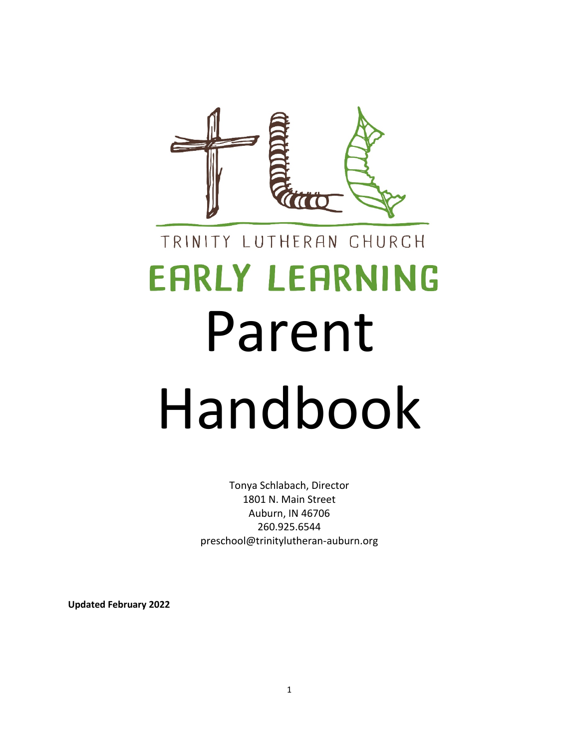

# TRINITY LUTHERAN CHURCH **EARLY LEARNING** Parent Handbook

Tonya Schlabach, Director 1801 N. Main Street Auburn, IN 46706 260.925.6544 preschool@trinitylutheran-auburn.org

**Updated February 2022**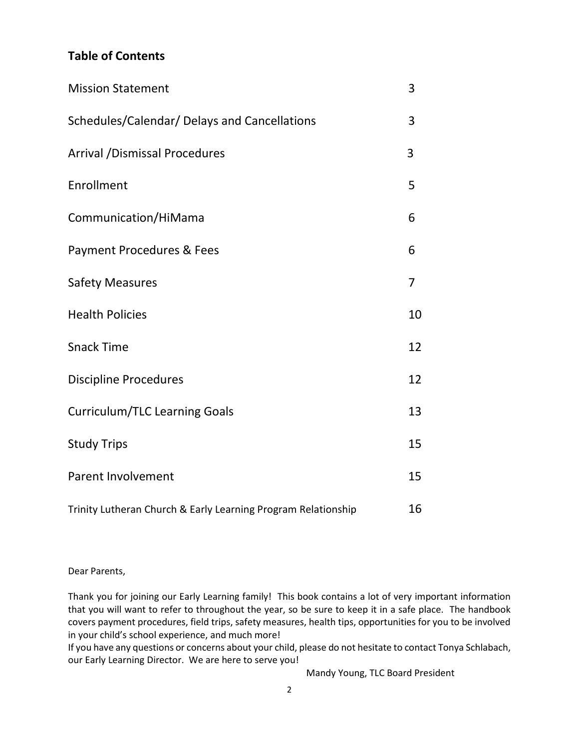# **Table of Contents**

| <b>Mission Statement</b>                                      | 3              |
|---------------------------------------------------------------|----------------|
| Schedules/Calendar/ Delays and Cancellations                  | 3              |
| <b>Arrival /Dismissal Procedures</b>                          | 3              |
| Enrollment                                                    | 5              |
| Communication/HiMama                                          | 6              |
| Payment Procedures & Fees                                     | 6              |
| <b>Safety Measures</b>                                        | $\overline{7}$ |
| <b>Health Policies</b>                                        | 10             |
| <b>Snack Time</b>                                             | 12             |
| <b>Discipline Procedures</b>                                  | 12             |
| <b>Curriculum/TLC Learning Goals</b>                          | 13             |
| <b>Study Trips</b>                                            | 15             |
| <b>Parent Involvement</b>                                     | 15             |
| Trinity Lutheran Church & Early Learning Program Relationship | 16             |

Dear Parents,

Thank you for joining our Early Learning family! This book contains a lot of very important information that you will want to refer to throughout the year, so be sure to keep it in a safe place. The handbook covers payment procedures, field trips, safety measures, health tips, opportunities for you to be involved in your child's school experience, and much more!

If you have any questions or concerns about your child, please do not hesitate to contact Tonya Schlabach, our Early Learning Director. We are here to serve you!

Mandy Young, TLC Board President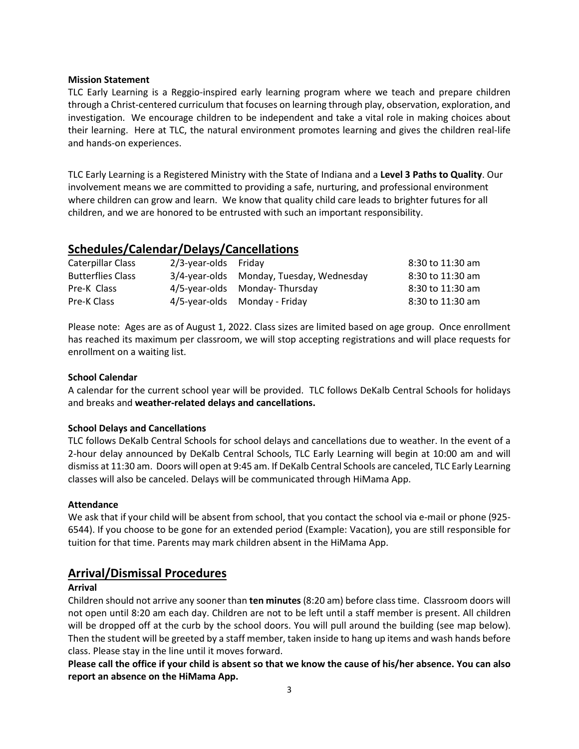#### **Mission Statement**

TLC Early Learning is a Reggio-inspired early learning program where we teach and prepare children through a Christ-centered curriculum that focuses on learning through play, observation, exploration, and investigation. We encourage children to be independent and take a vital role in making choices about their learning. Here at TLC, the natural environment promotes learning and gives the children real-life and hands-on experiences.

TLC Early Learning is a Registered Ministry with the State of Indiana and a **Level 3 Paths to Quality**. Our involvement means we are committed to providing a safe, nurturing, and professional environment where children can grow and learn. We know that quality child care leads to brighter futures for all children, and we are honored to be entrusted with such an important responsibility.

### **Schedules/Calendar/Delays/Cancellations**

| Caterpillar Class        | $2/3$ -year-olds Friday |                                          | 8:30 to 11:30 am |
|--------------------------|-------------------------|------------------------------------------|------------------|
| <b>Butterflies Class</b> |                         | 3/4-year-olds Monday, Tuesday, Wednesday | 8:30 to 11:30 am |
| Pre-K Class              |                         | 4/5-year-olds Monday-Thursday            | 8:30 to 11:30 am |
| Pre-K Class              |                         | 4/5-year-olds Monday - Friday            | 8:30 to 11:30 am |

Please note: Ages are as of August 1, 2022. Class sizes are limited based on age group. Once enrollment has reached its maximum per classroom, we will stop accepting registrations and will place requests for enrollment on a waiting list.

#### **School Calendar**

A calendar for the current school year will be provided. TLC follows DeKalb Central Schools for holidays and breaks and **weather-related delays and cancellations.**

#### **School Delays and Cancellations**

TLC follows DeKalb Central Schools for school delays and cancellations due to weather. In the event of a 2-hour delay announced by DeKalb Central Schools, TLC Early Learning will begin at 10:00 am and will dismiss at 11:30 am. Doors will open at 9:45 am. If DeKalb Central Schools are canceled, TLC Early Learning classes will also be canceled. Delays will be communicated through HiMama App.

#### **Attendance**

We ask that if your child will be absent from school, that you contact the school via e-mail or phone (925- 6544). If you choose to be gone for an extended period (Example: Vacation), you are still responsible for tuition for that time. Parents may mark children absent in the HiMama App.

### **Arrival/Dismissal Procedures**

#### **Arrival**

Children should not arrive any sooner than **ten minutes** (8:20 am) before class time. Classroom doors will not open until 8:20 am each day. Children are not to be left until a staff member is present. All children will be dropped off at the curb by the school doors. You will pull around the building (see map below). Then the student will be greeted by a staff member, taken inside to hang up items and wash hands before class. Please stay in the line until it moves forward.

**Please call the office if your child is absent so that we know the cause of his/her absence. You can also report an absence on the HiMama App.**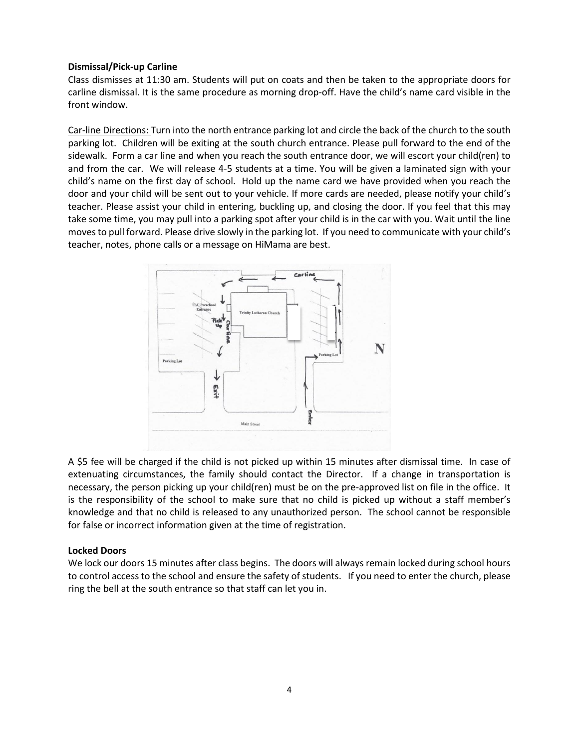#### **Dismissal/Pick-up Carline**

Class dismisses at 11:30 am. Students will put on coats and then be taken to the appropriate doors for carline dismissal. It is the same procedure as morning drop-off. Have the child's name card visible in the front window.

Car-line Directions: Turn into the north entrance parking lot and circle the back of the church to the south parking lot. Children will be exiting at the south church entrance. Please pull forward to the end of the sidewalk. Form a car line and when you reach the south entrance door, we will escort your child(ren) to and from the car. We will release 4-5 students at a time. You will be given a laminated sign with your child's name on the first day of school. Hold up the name card we have provided when you reach the door and your child will be sent out to your vehicle. If more cards are needed, please notify your child's teacher. Please assist your child in entering, buckling up, and closing the door. If you feel that this may take some time, you may pull into a parking spot after your child is in the car with you. Wait until the line moves to pull forward. Please drive slowly in the parking lot. If you need to communicate with your child's teacher, notes, phone calls or a message on HiMama are best.



A \$5 fee will be charged if the child is not picked up within 15 minutes after dismissal time. In case of extenuating circumstances, the family should contact the Director. If a change in transportation is necessary, the person picking up your child(ren) must be on the pre-approved list on file in the office. It is the responsibility of the school to make sure that no child is picked up without a staff member's knowledge and that no child is released to any unauthorized person. The school cannot be responsible for false or incorrect information given at the time of registration.

#### **Locked Doors**

We lock our doors 15 minutes after class begins. The doors will always remain locked during school hours to control access to the school and ensure the safety of students. If you need to enter the church, please ring the bell at the south entrance so that staff can let you in.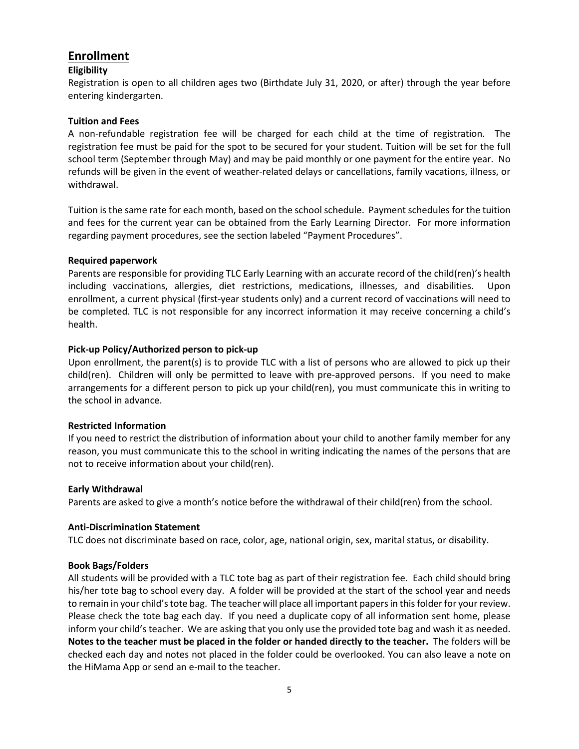# **Enrollment**

#### **Eligibility**

Registration is open to all children ages two (Birthdate July 31, 2020, or after) through the year before entering kindergarten.

#### **Tuition and Fees**

A non-refundable registration fee will be charged for each child at the time of registration. The registration fee must be paid for the spot to be secured for your student. Tuition will be set for the full school term (September through May) and may be paid monthly or one payment for the entire year. No refunds will be given in the event of weather-related delays or cancellations, family vacations, illness, or withdrawal.

Tuition is the same rate for each month, based on the school schedule. Payment schedules for the tuition and fees for the current year can be obtained from the Early Learning Director. For more information regarding payment procedures, see the section labeled "Payment Procedures".

#### **Required paperwork**

Parents are responsible for providing TLC Early Learning with an accurate record of the child(ren)'s health including vaccinations, allergies, diet restrictions, medications, illnesses, and disabilities. Upon enrollment, a current physical (first-year students only) and a current record of vaccinations will need to be completed. TLC is not responsible for any incorrect information it may receive concerning a child's health.

#### **Pick-up Policy/Authorized person to pick-up**

Upon enrollment, the parent(s) is to provide TLC with a list of persons who are allowed to pick up their child(ren). Children will only be permitted to leave with pre-approved persons. If you need to make arrangements for a different person to pick up your child(ren), you must communicate this in writing to the school in advance.

#### **Restricted Information**

If you need to restrict the distribution of information about your child to another family member for any reason, you must communicate this to the school in writing indicating the names of the persons that are not to receive information about your child(ren).

#### **Early Withdrawal**

Parents are asked to give a month's notice before the withdrawal of their child(ren) from the school.

#### **Anti-Discrimination Statement**

TLC does not discriminate based on race, color, age, national origin, sex, marital status, or disability.

#### **Book Bags/Folders**

All students will be provided with a TLC tote bag as part of their registration fee. Each child should bring his/her tote bag to school every day. A folder will be provided at the start of the school year and needs to remain in your child's tote bag. The teacher will place all important papers in this folder for your review. Please check the tote bag each day. If you need a duplicate copy of all information sent home, please inform your child's teacher. We are asking that you only use the provided tote bag and wash it as needed. **Notes to the teacher must be placed in the folder or handed directly to the teacher.** The folders will be checked each day and notes not placed in the folder could be overlooked. You can also leave a note on the HiMama App or send an e-mail to the teacher.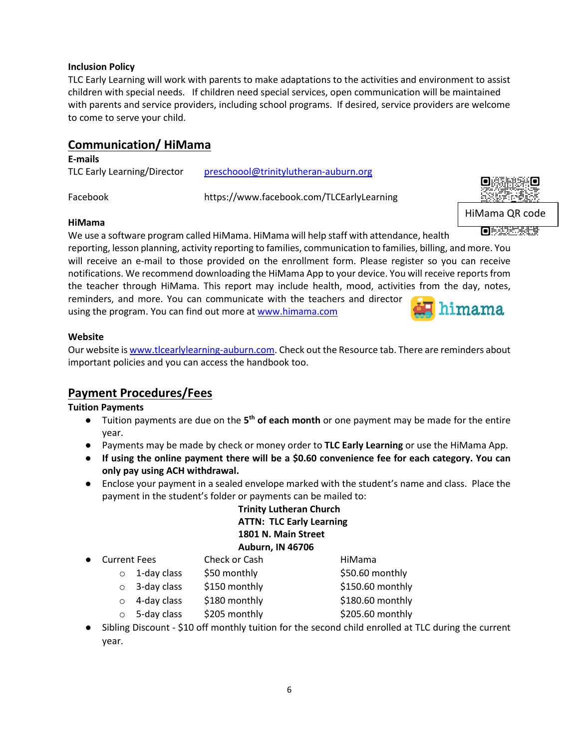#### **Inclusion Policy**

TLC Early Learning will work with parents to make adaptations to the activities and environment to assist children with special needs. If children need special services, open communication will be maintained with parents and service providers, including school programs. If desired, service providers are welcome to come to serve your child.

# **Communication/ HiMama**

#### **E-mails**

TLC Early Learning/Director [preschoool@trinitylutheran-auburn.org](mailto:preschoool@trinitylutheran-auburn.org)

Facebook https://www.facebook.com/TLCEarlyLearning

HiMama QR code

**OBXXXXXXX** 

## **HiMama**

We use a software program called HiMama. HiMama will help staff with attendance, health reporting, lesson planning, activity reporting to families, communication to families, billing, and more. You will receive an e-mail to those provided on the enrollment form. Please register so you can receive notifications. We recommend downloading the HiMama App to your device. You will receive reports from the teacher through HiMama. This report may include health, mood, activities from the day, notes, reminders, and more. You can communicate with the teachers and director

using the program. You can find out more at [www.himama.com](http://www.himama.com/)



#### **Website**

Our website i[s www.tlcearlylearning-auburn.com.](http://www.tlcearlylearning-auburn.com/) Check out the Resource tab. There are reminders about important policies and you can access the handbook too.

# **Payment Procedures/Fees**

### **Tuition Payments**

- Tuition payments are due on the **5th of each month** or one payment may be made for the entire year.
- Payments may be made by check or money order to **TLC Early Learning** or use the HiMama App.
- **If using the online payment there will be a \$0.60 convenience fee for each category. You can only pay using ACH withdrawal.**
- Enclose your payment in a sealed envelope marked with the student's name and class. Place the payment in the student's folder or payments can be mailed to:

# **Trinity Lutheran Church ATTN: TLC Early Learning 1801 N. Main Street Auburn, IN 46706**

- **Current Fees** Check or Cash **HiMama** 
	- $\circ$  1-day class  $\frac{1}{50}$  monthly  $\frac{1}{50.60}$  monthly
	- o 3-day class \$150 monthly \$150.60 monthly
	- $\circ$  4-day class \$180 monthly \$180.60 monthly
	- $\circ$  5-day class  $\frac{1}{205}$  monthly  $\frac{1}{205.60}$  monthly
- Sibling Discount \$10 off monthly tuition for the second child enrolled at TLC during the current year.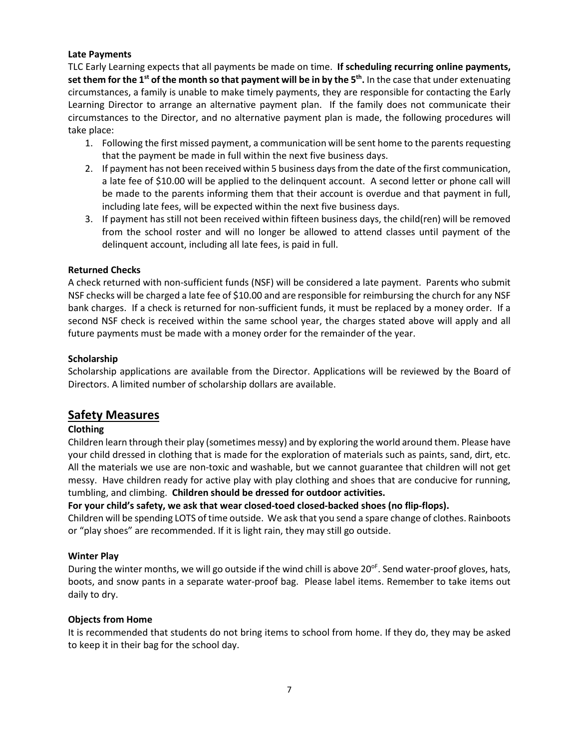#### **Late Payments**

TLC Early Learning expects that all payments be made on time. **If scheduling recurring online payments, set them for the 1st of the month so that payment will be in by the 5th.** In the case that under extenuating circumstances, a family is unable to make timely payments, they are responsible for contacting the Early Learning Director to arrange an alternative payment plan. If the family does not communicate their circumstances to the Director, and no alternative payment plan is made, the following procedures will take place:

- 1. Following the first missed payment, a communication will be sent home to the parents requesting that the payment be made in full within the next five business days.
- 2. If payment has not been received within 5 business days from the date of the first communication, a late fee of \$10.00 will be applied to the delinquent account. A second letter or phone call will be made to the parents informing them that their account is overdue and that payment in full, including late fees, will be expected within the next five business days.
- 3. If payment has still not been received within fifteen business days, the child(ren) will be removed from the school roster and will no longer be allowed to attend classes until payment of the delinquent account, including all late fees, is paid in full.

#### **Returned Checks**

A check returned with non-sufficient funds (NSF) will be considered a late payment. Parents who submit NSF checks will be charged a late fee of \$10.00 and are responsible for reimbursing the church for any NSF bank charges. If a check is returned for non-sufficient funds, it must be replaced by a money order. If a second NSF check is received within the same school year, the charges stated above will apply and all future payments must be made with a money order for the remainder of the year.

#### **Scholarship**

Scholarship applications are available from the Director. Applications will be reviewed by the Board of Directors. A limited number of scholarship dollars are available.

### **Safety Measures**

#### **Clothing**

Children learn through their play (sometimes messy) and by exploring the world around them. Please have your child dressed in clothing that is made for the exploration of materials such as paints, sand, dirt, etc. All the materials we use are non-toxic and washable, but we cannot guarantee that children will not get messy. Have children ready for active play with play clothing and shoes that are conducive for running, tumbling, and climbing. **Children should be dressed for outdoor activities.**

**For your child's safety, we ask that wear closed-toed closed-backed shoes (no flip-flops).** 

Children will be spending LOTS of time outside. We ask that you send a spare change of clothes. Rainboots or "play shoes" are recommended. If it is light rain, they may still go outside.

#### **Winter Play**

During the winter months, we will go outside if the wind chill is above  $20^{\circ}$ . Send water-proof gloves, hats, boots, and snow pants in a separate water-proof bag. Please label items. Remember to take items out daily to dry.

#### **Objects from Home**

It is recommended that students do not bring items to school from home. If they do, they may be asked to keep it in their bag for the school day.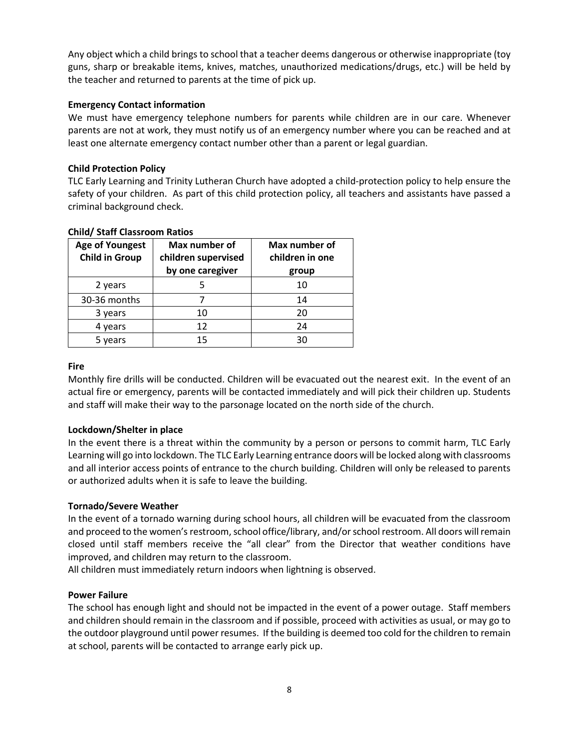Any object which a child brings to school that a teacher deems dangerous or otherwise inappropriate (toy guns, sharp or breakable items, knives, matches, unauthorized medications/drugs, etc.) will be held by the teacher and returned to parents at the time of pick up.

#### **Emergency Contact information**

We must have emergency telephone numbers for parents while children are in our care. Whenever parents are not at work, they must notify us of an emergency number where you can be reached and at least one alternate emergency contact number other than a parent or legal guardian.

#### **Child Protection Policy**

TLC Early Learning and Trinity Lutheran Church have adopted a child-protection policy to help ensure the safety of your children. As part of this child protection policy, all teachers and assistants have passed a criminal background check.

| <b>Age of Youngest</b><br><b>Child in Group</b> | Max number of<br>children supervised<br>by one caregiver | Max number of<br>children in one<br>group |
|-------------------------------------------------|----------------------------------------------------------|-------------------------------------------|
| 2 years                                         |                                                          | 10                                        |
| 30-36 months                                    |                                                          | 14                                        |
| 3 years                                         | 10                                                       | 20                                        |
| 4 years                                         | 12                                                       | 24                                        |
| 5 years                                         | 15                                                       | 30                                        |

### **Child/ Staff Classroom Ratios**

#### **Fire**

Monthly fire drills will be conducted. Children will be evacuated out the nearest exit. In the event of an actual fire or emergency, parents will be contacted immediately and will pick their children up. Students and staff will make their way to the parsonage located on the north side of the church.

#### **Lockdown/Shelter in place**

In the event there is a threat within the community by a person or persons to commit harm, TLC Early Learning will go into lockdown. The TLC Early Learning entrance doors will be locked along with classrooms and all interior access points of entrance to the church building. Children will only be released to parents or authorized adults when it is safe to leave the building.

#### **Tornado/Severe Weather**

In the event of a tornado warning during school hours, all children will be evacuated from the classroom and proceed to the women's restroom, school office/library, and/or school restroom. All doors will remain closed until staff members receive the "all clear" from the Director that weather conditions have improved, and children may return to the classroom.

All children must immediately return indoors when lightning is observed.

#### **Power Failure**

The school has enough light and should not be impacted in the event of a power outage. Staff members and children should remain in the classroom and if possible, proceed with activities as usual, or may go to the outdoor playground until power resumes. If the building is deemed too cold for the children to remain at school, parents will be contacted to arrange early pick up.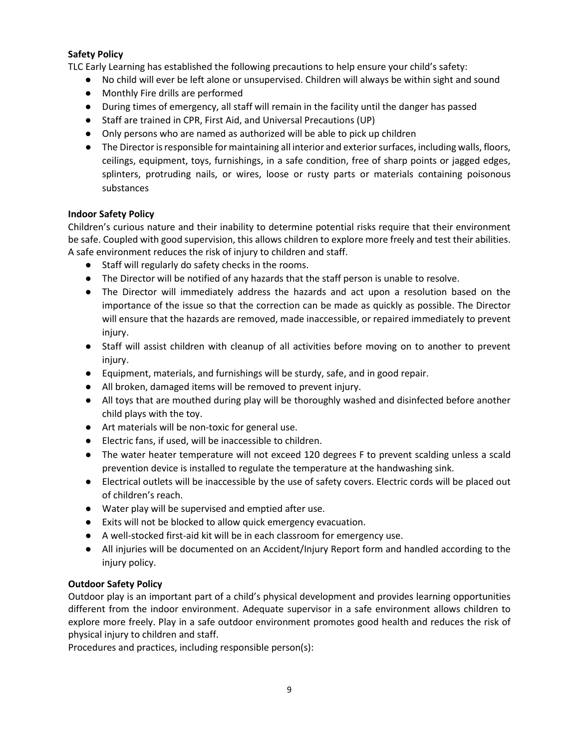#### **Safety Policy**

TLC Early Learning has established the following precautions to help ensure your child's safety:

- No child will ever be left alone or unsupervised. Children will always be within sight and sound
- Monthly Fire drills are performed
- During times of emergency, all staff will remain in the facility until the danger has passed
- Staff are trained in CPR, First Aid, and Universal Precautions (UP)
- Only persons who are named as authorized will be able to pick up children
- The Director is responsible for maintaining all interior and exterior surfaces, including walls, floors, ceilings, equipment, toys, furnishings, in a safe condition, free of sharp points or jagged edges, splinters, protruding nails, or wires, loose or rusty parts or materials containing poisonous substances

#### **Indoor Safety Policy**

Children's curious nature and their inability to determine potential risks require that their environment be safe. Coupled with good supervision, this allows children to explore more freely and test their abilities. A safe environment reduces the risk of injury to children and staff.

- Staff will regularly do safety checks in the rooms.
- The Director will be notified of any hazards that the staff person is unable to resolve.
- The Director will immediately address the hazards and act upon a resolution based on the importance of the issue so that the correction can be made as quickly as possible. The Director will ensure that the hazards are removed, made inaccessible, or repaired immediately to prevent injury.
- Staff will assist children with cleanup of all activities before moving on to another to prevent injury.
- Equipment, materials, and furnishings will be sturdy, safe, and in good repair.
- All broken, damaged items will be removed to prevent injury.
- All toys that are mouthed during play will be thoroughly washed and disinfected before another child plays with the toy.
- Art materials will be non-toxic for general use.
- Electric fans, if used, will be inaccessible to children.
- The water heater temperature will not exceed 120 degrees F to prevent scalding unless a scald prevention device is installed to regulate the temperature at the handwashing sink.
- Electrical outlets will be inaccessible by the use of safety covers. Electric cords will be placed out of children's reach.
- Water play will be supervised and emptied after use.
- Exits will not be blocked to allow quick emergency evacuation.
- A well-stocked first-aid kit will be in each classroom for emergency use.
- All injuries will be documented on an Accident/Injury Report form and handled according to the injury policy.

#### **Outdoor Safety Policy**

Outdoor play is an important part of a child's physical development and provides learning opportunities different from the indoor environment. Adequate supervisor in a safe environment allows children to explore more freely. Play in a safe outdoor environment promotes good health and reduces the risk of physical injury to children and staff.

Procedures and practices, including responsible person(s):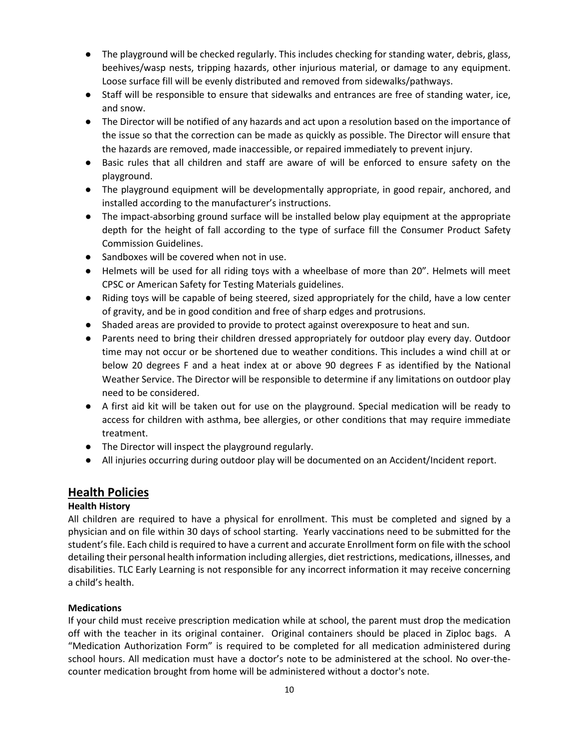- The playground will be checked regularly. This includes checking for standing water, debris, glass, beehives/wasp nests, tripping hazards, other injurious material, or damage to any equipment. Loose surface fill will be evenly distributed and removed from sidewalks/pathways.
- Staff will be responsible to ensure that sidewalks and entrances are free of standing water, ice, and snow.
- The Director will be notified of any hazards and act upon a resolution based on the importance of the issue so that the correction can be made as quickly as possible. The Director will ensure that the hazards are removed, made inaccessible, or repaired immediately to prevent injury.
- Basic rules that all children and staff are aware of will be enforced to ensure safety on the playground.
- The playground equipment will be developmentally appropriate, in good repair, anchored, and installed according to the manufacturer's instructions.
- The impact-absorbing ground surface will be installed below play equipment at the appropriate depth for the height of fall according to the type of surface fill the Consumer Product Safety Commission Guidelines.
- Sandboxes will be covered when not in use.
- Helmets will be used for all riding toys with a wheelbase of more than 20". Helmets will meet CPSC or American Safety for Testing Materials guidelines.
- Riding toys will be capable of being steered, sized appropriately for the child, have a low center of gravity, and be in good condition and free of sharp edges and protrusions.
- Shaded areas are provided to provide to protect against overexposure to heat and sun.
- Parents need to bring their children dressed appropriately for outdoor play every day. Outdoor time may not occur or be shortened due to weather conditions. This includes a wind chill at or below 20 degrees F and a heat index at or above 90 degrees F as identified by the National Weather Service. The Director will be responsible to determine if any limitations on outdoor play need to be considered.
- A first aid kit will be taken out for use on the playground. Special medication will be ready to access for children with asthma, bee allergies, or other conditions that may require immediate treatment.
- The Director will inspect the playground regularly.
- All injuries occurring during outdoor play will be documented on an Accident/Incident report.

# **Health Policies**

### **Health History**

All children are required to have a physical for enrollment. This must be completed and signed by a physician and on file within 30 days of school starting. Yearly vaccinations need to be submitted for the student's file. Each child is required to have a current and accurate Enrollment form on file with the school detailing their personal health information including allergies, diet restrictions, medications, illnesses, and disabilities. TLC Early Learning is not responsible for any incorrect information it may receive concerning a child's health.

### **Medications**

If your child must receive prescription medication while at school, the parent must drop the medication off with the teacher in its original container. Original containers should be placed in Ziploc bags. A "Medication Authorization Form" is required to be completed for all medication administered during school hours. All medication must have a doctor's note to be administered at the school. No over-thecounter medication brought from home will be administered without a doctor's note.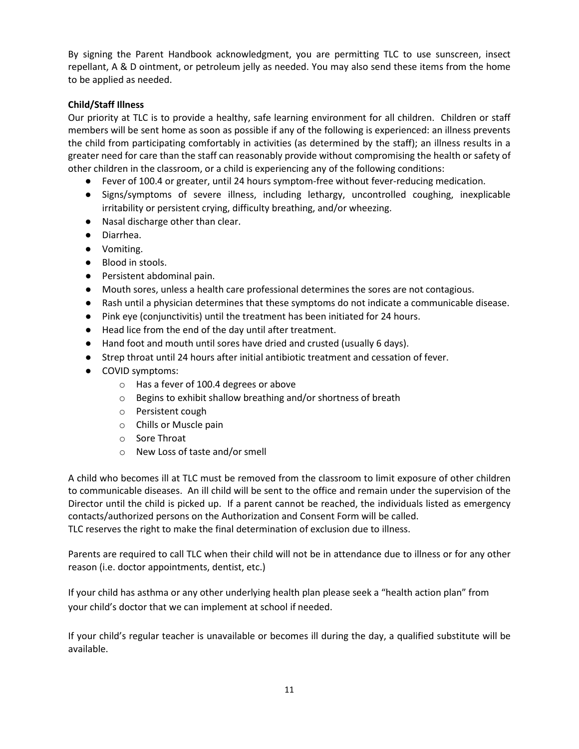By signing the Parent Handbook acknowledgment, you are permitting TLC to use sunscreen, insect repellant, A & D ointment, or petroleum jelly as needed. You may also send these items from the home to be applied as needed.

#### **Child/Staff Illness**

Our priority at TLC is to provide a healthy, safe learning environment for all children. Children or staff members will be sent home as soon as possible if any of the following is experienced: an illness prevents the child from participating comfortably in activities (as determined by the staff); an illness results in a greater need for care than the staff can reasonably provide without compromising the health or safety of other children in the classroom, or a child is experiencing any of the following conditions:

- Fever of 100.4 or greater, until 24 hours symptom-free without fever-reducing medication.
- Signs/symptoms of severe illness, including lethargy, uncontrolled coughing, inexplicable irritability or persistent crying, difficulty breathing, and/or wheezing.
- Nasal discharge other than clear.
- Diarrhea.
- Vomiting.
- Blood in stools.
- Persistent abdominal pain.
- Mouth sores, unless a health care professional determines the sores are not contagious.
- Rash until a physician determines that these symptoms do not indicate a communicable disease.
- Pink eye (conjunctivitis) until the treatment has been initiated for 24 hours.
- Head lice from the end of the day until after treatment.
- Hand foot and mouth until sores have dried and crusted (usually 6 days).
- Strep throat until 24 hours after initial antibiotic treatment and cessation of fever.
- COVID symptoms:
	- o Has a fever of 100.4 degrees or above
	- o Begins to exhibit shallow breathing and/or shortness of breath
	- o Persistent cough
	- o Chills or Muscle pain
	- o Sore Throat
	- o New Loss of taste and/or smell

A child who becomes ill at TLC must be removed from the classroom to limit exposure of other children to communicable diseases. An ill child will be sent to the office and remain under the supervision of the Director until the child is picked up. If a parent cannot be reached, the individuals listed as emergency contacts/authorized persons on the Authorization and Consent Form will be called. TLC reserves the right to make the final determination of exclusion due to illness.

Parents are required to call TLC when their child will not be in attendance due to illness or for any other reason (i.e. doctor appointments, dentist, etc.)

If your child has asthma or any other underlying health plan please seek a "health action plan" from your child's doctor that we can implement at school if needed.

If your child's regular teacher is unavailable or becomes ill during the day, a qualified substitute will be available.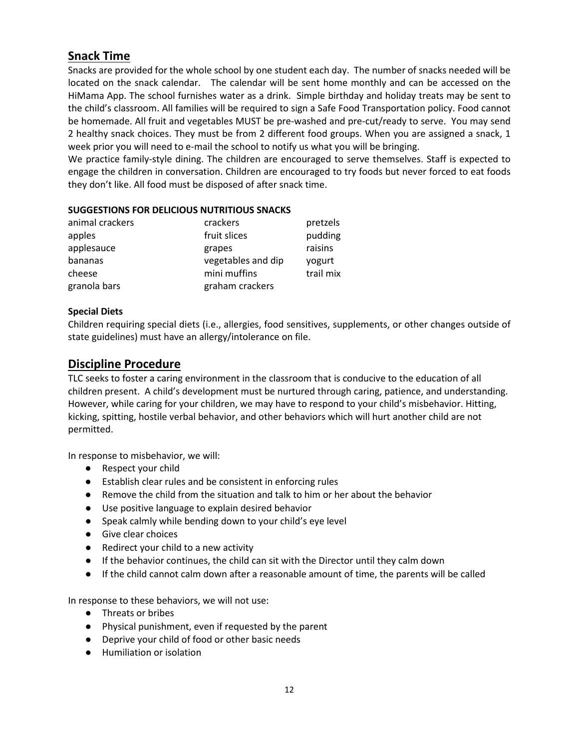# **Snack Time**

Snacks are provided for the whole school by one student each day. The number of snacks needed will be located on the snack calendar. The calendar will be sent home monthly and can be accessed on the HiMama App. The school furnishes water as a drink. Simple birthday and holiday treats may be sent to the child's classroom. All families will be required to sign a Safe Food Transportation policy. Food cannot be homemade. All fruit and vegetables MUST be pre-washed and pre-cut/ready to serve. You may send 2 healthy snack choices. They must be from 2 different food groups. When you are assigned a snack, 1 week prior you will need to e-mail the school to notify us what you will be bringing.

We practice family-style dining. The children are encouraged to serve themselves. Staff is expected to engage the children in conversation. Children are encouraged to try foods but never forced to eat foods they don't like. All food must be disposed of after snack time.

#### **SUGGESTIONS FOR DELICIOUS NUTRITIOUS SNACKS**

| animal crackers | crackers           | pretzels  |
|-----------------|--------------------|-----------|
| apples          | fruit slices       | pudding   |
| applesauce      | grapes             | raisins   |
| bananas         | vegetables and dip | yogurt    |
| cheese          | mini muffins       | trail mix |
| granola bars    | graham crackers    |           |

#### **Special Diets**

Children requiring special diets (i.e., allergies, food sensitives, supplements, or other changes outside of state guidelines) must have an allergy/intolerance on file.

# **Discipline Procedure**

TLC seeks to foster a caring environment in the classroom that is conducive to the education of all children present. A child's development must be nurtured through caring, patience, and understanding. However, while caring for your children, we may have to respond to your child's misbehavior. Hitting, kicking, spitting, hostile verbal behavior, and other behaviors which will hurt another child are not permitted.

In response to misbehavior, we will:

- Respect your child
- Establish clear rules and be consistent in enforcing rules
- Remove the child from the situation and talk to him or her about the behavior
- Use positive language to explain desired behavior
- Speak calmly while bending down to your child's eye level
- Give clear choices
- Redirect your child to a new activity
- If the behavior continues, the child can sit with the Director until they calm down
- If the child cannot calm down after a reasonable amount of time, the parents will be called

In response to these behaviors, we will not use:

- Threats or bribes
- Physical punishment, even if requested by the parent
- Deprive your child of food or other basic needs
- Humiliation or isolation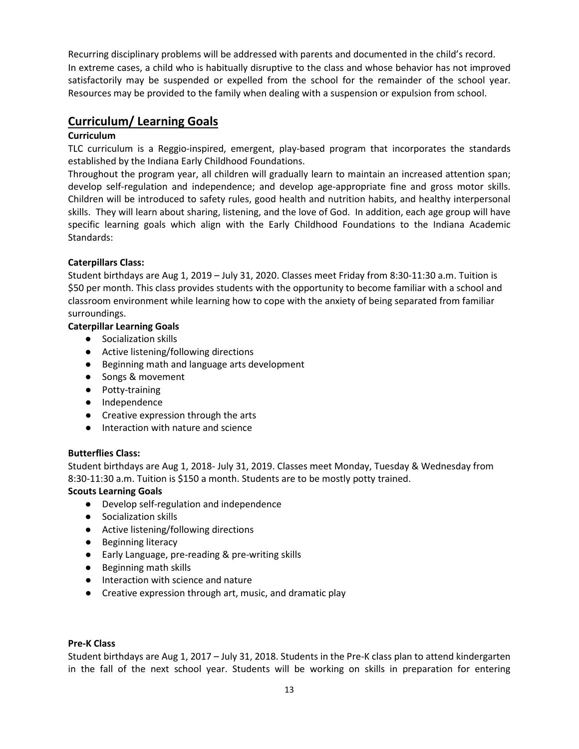Recurring disciplinary problems will be addressed with parents and documented in the child's record. In extreme cases, a child who is habitually disruptive to the class and whose behavior has not improved satisfactorily may be suspended or expelled from the school for the remainder of the school year. Resources may be provided to the family when dealing with a suspension or expulsion from school.

# **Curriculum/ Learning Goals**

#### **Curriculum**

TLC curriculum is a Reggio-inspired, emergent, play-based program that incorporates the standards established by the Indiana Early Childhood Foundations.

Throughout the program year, all children will gradually learn to maintain an increased attention span; develop self-regulation and independence; and develop age-appropriate fine and gross motor skills. Children will be introduced to safety rules, good health and nutrition habits, and healthy interpersonal skills. They will learn about sharing, listening, and the love of God. In addition, each age group will have specific learning goals which align with the Early Childhood Foundations to the Indiana Academic Standards:

#### **Caterpillars Class:**

Student birthdays are Aug 1, 2019 – July 31, 2020. Classes meet Friday from 8:30-11:30 a.m. Tuition is \$50 per month. This class provides students with the opportunity to become familiar with a school and classroom environment while learning how to cope with the anxiety of being separated from familiar surroundings.

#### **Caterpillar Learning Goals**

- Socialization skills
- Active listening/following directions
- Beginning math and language arts development
- Songs & movement
- Potty-training
- Independence
- Creative expression through the arts
- Interaction with nature and science

#### **Butterflies Class:**

Student birthdays are Aug 1, 2018- July 31, 2019. Classes meet Monday, Tuesday & Wednesday from 8:30-11:30 a.m. Tuition is \$150 a month. Students are to be mostly potty trained.

#### **Scouts Learning Goals**

- Develop self-regulation and independence
- Socialization skills
- Active listening/following directions
- Beginning literacy
- Early Language, pre-reading & pre-writing skills
- Beginning math skills
- Interaction with science and nature
- Creative expression through art, music, and dramatic play

#### **Pre-K Class**

Student birthdays are Aug 1, 2017 – July 31, 2018. Students in the Pre-K class plan to attend kindergarten in the fall of the next school year. Students will be working on skills in preparation for entering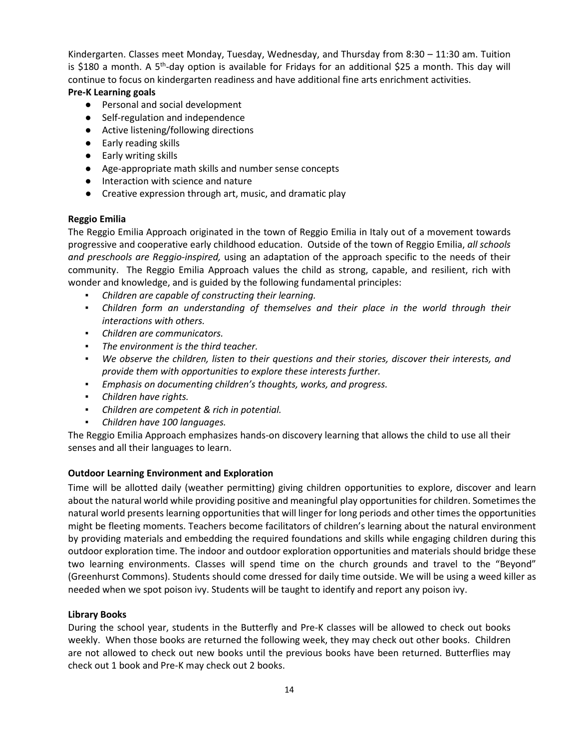Kindergarten. Classes meet Monday, Tuesday, Wednesday, and Thursday from 8:30 – 11:30 am. Tuition is \$180 a month. A 5<sup>th</sup>-day option is available for Fridays for an additional \$25 a month. This day will continue to focus on kindergarten readiness and have additional fine arts enrichment activities.

#### **Pre-K Learning goals**

- Personal and social development
- Self-regulation and independence
- Active listening/following directions
- Early reading skills
- Early writing skills
- Age-appropriate math skills and number sense concepts
- Interaction with science and nature
- Creative expression through art, music, and dramatic play

#### **Reggio Emilia**

The Reggio Emilia Approach originated in the town of Reggio Emilia in Italy out of a movement towards progressive and cooperative early childhood education. Outside of the town of Reggio Emilia, *all schools and preschools are Reggio-inspired,* using an adaptation of the approach specific to the needs of their community. The Reggio Emilia Approach values the child as strong, capable, and resilient, rich with wonder and knowledge, and is guided by the following fundamental principles:

- *Children are capable of constructing their learning.*
- *Children form an understanding of themselves and their place in the world through their interactions with others.*
- *Children are communicators.*
- *The environment is the third teacher.*
- *We observe the children, listen to their questions and their stories, discover their interests, and provide them with opportunities to explore these interests further.*
- *Emphasis on documenting children's thoughts, works, and progress.*
- *Children have rights.*
- *Children are competent & rich in potential.*
- *Children have 100 languages.*

The Reggio Emilia Approach emphasizes hands-on discovery learning that allows the child to use all their senses and all their languages to learn.

#### **Outdoor Learning Environment and Exploration**

Time will be allotted daily (weather permitting) giving children opportunities to explore, discover and learn about the natural world while providing positive and meaningful play opportunities for children. Sometimes the natural world presents learning opportunities that will linger for long periods and other times the opportunities might be fleeting moments. Teachers become facilitators of children's learning about the natural environment by providing materials and embedding the required foundations and skills while engaging children during this outdoor exploration time. The indoor and outdoor exploration opportunities and materials should bridge these two learning environments. Classes will spend time on the church grounds and travel to the "Beyond" (Greenhurst Commons). Students should come dressed for daily time outside. We will be using a weed killer as needed when we spot poison ivy. Students will be taught to identify and report any poison ivy.

#### **Library Books**

During the school year, students in the Butterfly and Pre-K classes will be allowed to check out books weekly. When those books are returned the following week, they may check out other books. Children are not allowed to check out new books until the previous books have been returned. Butterflies may check out 1 book and Pre-K may check out 2 books.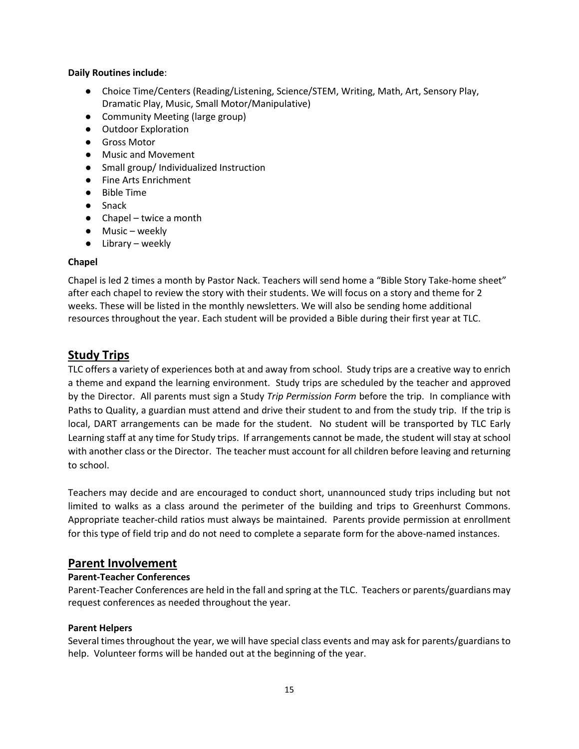#### **Daily Routines include**:

- Choice Time/Centers (Reading/Listening, Science/STEM, Writing, Math, Art, Sensory Play, Dramatic Play, Music, Small Motor/Manipulative)
- Community Meeting (large group)
- Outdoor Exploration
- Gross Motor
- Music and Movement
- Small group/ Individualized Instruction
- Fine Arts Enrichment
- Bible Time
- Snack
- $\bullet$  Chapel twice a month
- Music weekly
- Library weekly

#### **Chapel**

Chapel is led 2 times a month by Pastor Nack. Teachers will send home a "Bible Story Take-home sheet" after each chapel to review the story with their students. We will focus on a story and theme for 2 weeks. These will be listed in the monthly newsletters. We will also be sending home additional resources throughout the year. Each student will be provided a Bible during their first year at TLC.

# **Study Trips**

TLC offers a variety of experiences both at and away from school. Study trips are a creative way to enrich a theme and expand the learning environment. Study trips are scheduled by the teacher and approved by the Director. All parents must sign a Study *Trip Permission Form* before the trip. In compliance with Paths to Quality, a guardian must attend and drive their student to and from the study trip. If the trip is local, DART arrangements can be made for the student. No student will be transported by TLC Early Learning staff at any time for Study trips. If arrangements cannot be made, the student will stay at school with another class or the Director. The teacher must account for all children before leaving and returning to school.

Teachers may decide and are encouraged to conduct short, unannounced study trips including but not limited to walks as a class around the perimeter of the building and trips to Greenhurst Commons. Appropriate teacher-child ratios must always be maintained. Parents provide permission at enrollment for this type of field trip and do not need to complete a separate form for the above-named instances.

### **Parent Involvement**

#### **Parent-Teacher Conferences**

Parent-Teacher Conferences are held in the fall and spring at the TLC. Teachers or parents/guardians may request conferences as needed throughout the year.

#### **Parent Helpers**

Several times throughout the year, we will have special class events and may ask for parents/guardians to help. Volunteer forms will be handed out at the beginning of the year.